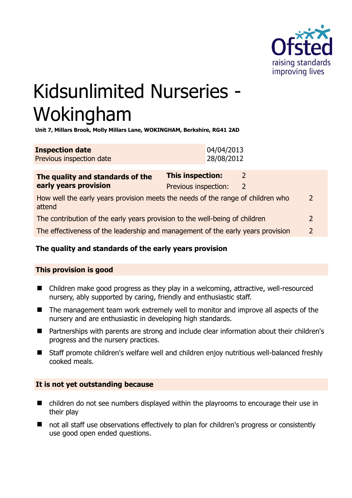

# Kidsunlimited Nurseries - Wokingham

**Unit 7, Millars Brook, Molly Millars Lane, WOKINGHAM, Berkshire, RG41 2AD** 

| <b>Inspection date</b>   | 04/04/2013 |
|--------------------------|------------|
| Previous inspection date | 28/08/2012 |

| The quality and standards of the<br>early years provision                                 | This inspection:     |   |               |
|-------------------------------------------------------------------------------------------|----------------------|---|---------------|
|                                                                                           | Previous inspection: | 2 |               |
| How well the early years provision meets the needs of the range of children who<br>attend |                      |   | $\mathcal{P}$ |
| The contribution of the early years provision to the well-being of children               |                      |   | $\mathcal{P}$ |
| The effectiveness of the leadership and management of the early years provision           |                      |   | $\mathcal{P}$ |
|                                                                                           |                      |   |               |

# **The quality and standards of the early years provision**

# **This provision is good**

- Children make good progress as they play in a welcoming, attractive, well-resourced nursery, ably supported by caring, friendly and enthusiastic staff.
- The management team work extremely well to monitor and improve all aspects of the nursery and are enthusiastic in developing high standards.
- Partnerships with parents are strong and include clear information about their children's progress and the nursery practices.
- Staff promote children's welfare well and children enjoy nutritious well-balanced freshly cooked meals.

# **It is not yet outstanding because**

- children do not see numbers displayed within the playrooms to encourage their use in their play
- not all staff use observations effectively to plan for children's progress or consistently use good open ended questions.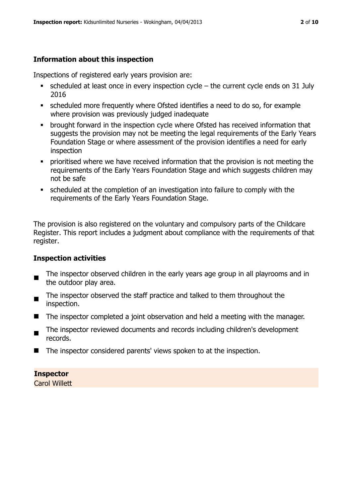# **Information about this inspection**

Inspections of registered early years provision are:

- $\blacksquare$  scheduled at least once in every inspection cycle the current cycle ends on 31 July 2016
- scheduled more frequently where Ofsted identifies a need to do so, for example where provision was previously judged inadequate
- **•** brought forward in the inspection cycle where Ofsted has received information that suggests the provision may not be meeting the legal requirements of the Early Years Foundation Stage or where assessment of the provision identifies a need for early inspection
- **•** prioritised where we have received information that the provision is not meeting the requirements of the Early Years Foundation Stage and which suggests children may not be safe
- scheduled at the completion of an investigation into failure to comply with the requirements of the Early Years Foundation Stage.

The provision is also registered on the voluntary and compulsory parts of the Childcare Register. This report includes a judgment about compliance with the requirements of that register.

# **Inspection activities**

- п The inspector observed children in the early years age group in all playrooms and in the outdoor play area.
- The inspector observed the staff practice and talked to them throughout the inspection.
- The inspector completed a joint observation and held a meeting with the manager.
- The inspector reviewed documents and records including children's development records.
- The inspector considered parents' views spoken to at the inspection.

# **Inspector**

Carol Willett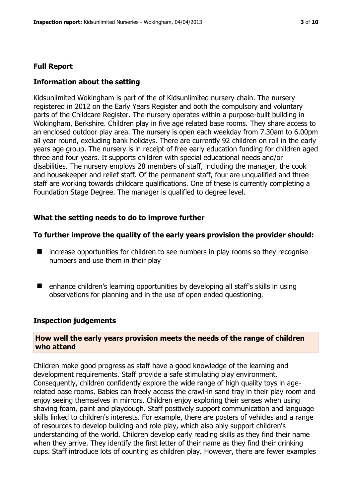#### **Full Report**

#### **Information about the setting**

Kidsunlimited Wokingham is part of the of Kidsunlimited nursery chain. The nursery registered in 2012 on the Early Years Register and both the compulsory and voluntary parts of the Childcare Register. The nursery operates within a purpose-built building in Wokingham, Berkshire. Children play in five age related base rooms. They share access to an enclosed outdoor play area. The nursery is open each weekday from 7.30am to 6.00pm all year round, excluding bank holidays. There are currently 92 children on roll in the early years age group. The nursery is in receipt of free early education funding for children aged three and four years. It supports children with special educational needs and/or disabilities. The nursery employs 28 members of staff, including the manager, the cook and housekeeper and relief staff. Of the permanent staff, four are unqualified and three staff are working towards childcare qualifications. One of these is currently completing a Foundation Stage Degree. The manager is qualified to degree level.

#### **What the setting needs to do to improve further**

#### **To further improve the quality of the early years provision the provider should:**

- increase opportunities for children to see numbers in play rooms so they recognise numbers and use them in their play
- enhance children's learning opportunities by developing all staff's skills in using observations for planning and in the use of open ended questioning.

#### **Inspection judgements**

#### **How well the early years provision meets the needs of the range of children who attend**

Children make good progress as staff have a good knowledge of the learning and development requirements. Staff provide a safe stimulating play environment. Consequently, children confidently explore the wide range of high quality toys in agerelated base rooms. Babies can freely access the crawl-in sand tray in their play room and enjoy seeing themselves in mirrors. Children enjoy exploring their senses when using shaving foam, paint and playdough. Staff positively support communication and language skills linked to children's interests. For example, there are posters of vehicles and a range of resources to develop building and role play, which also ably support children's understanding of the world. Children develop early reading skills as they find their name when they arrive. They identify the first letter of their name as they find their drinking cups. Staff introduce lots of counting as children play. However, there are fewer examples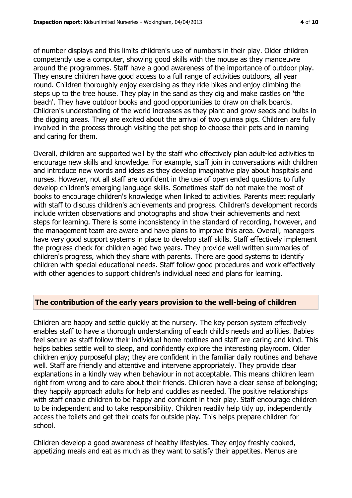of number displays and this limits children's use of numbers in their play. Older children competently use a computer, showing good skills with the mouse as they manoeuvre around the programmes. Staff have a good awareness of the importance of outdoor play. They ensure children have good access to a full range of activities outdoors, all year round. Children thoroughly enjoy exercising as they ride bikes and enjoy climbing the steps up to the tree house. They play in the sand as they dig and make castles on 'the beach'. They have outdoor books and good opportunities to draw on chalk boards. Children's understanding of the world increases as they plant and grow seeds and bulbs in the digging areas. They are excited about the arrival of two guinea pigs. Children are fully involved in the process through visiting the pet shop to choose their pets and in naming and caring for them.

Overall, children are supported well by the staff who effectively plan adult-led activities to encourage new skills and knowledge. For example, staff join in conversations with children and introduce new words and ideas as they develop imaginative play about hospitals and nurses. However, not all staff are confident in the use of open ended questions to fully develop children's emerging language skills. Sometimes staff do not make the most of books to encourage children's knowledge when linked to activities. Parents meet regularly with staff to discuss children's achievements and progress. Children's development records include written observations and photographs and show their achievements and next steps for learning. There is some inconsistency in the standard of recording, however, and the management team are aware and have plans to improve this area. Overall, managers have very good support systems in place to develop staff skills. Staff effectively implement the progress check for children aged two years. They provide well written summaries of children's progress, which they share with parents. There are good systems to identify children with special educational needs. Staff follow good procedures and work effectively with other agencies to support children's individual need and plans for learning.

#### **The contribution of the early years provision to the well-being of children**

Children are happy and settle quickly at the nursery. The key person system effectively enables staff to have a thorough understanding of each child's needs and abilities. Babies feel secure as staff follow their individual home routines and staff are caring and kind. This helps babies settle well to sleep, and confidently explore the interesting playroom. Older children enjoy purposeful play; they are confident in the familiar daily routines and behave well. Staff are friendly and attentive and intervene appropriately. They provide clear explanations in a kindly way when behaviour in not acceptable. This means children learn right from wrong and to care about their friends. Children have a clear sense of belonging; they happily approach adults for help and cuddles as needed. The positive relationships with staff enable children to be happy and confident in their play. Staff encourage children to be independent and to take responsibility. Children readily help tidy up, independently access the toilets and get their coats for outside play. This helps prepare children for school.

Children develop a good awareness of healthy lifestyles. They enjoy freshly cooked, appetizing meals and eat as much as they want to satisfy their appetites. Menus are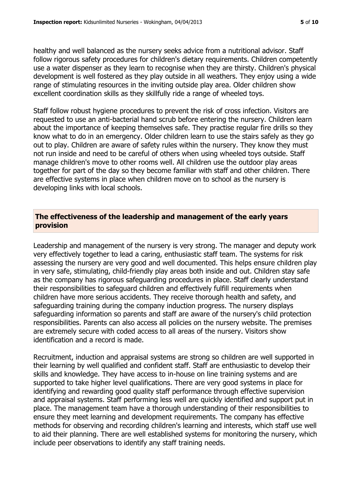healthy and well balanced as the nursery seeks advice from a nutritional advisor. Staff follow rigorous safety procedures for children's dietary requirements. Children competently use a water dispenser as they learn to recognise when they are thirsty. Children's physical development is well fostered as they play outside in all weathers. They enjoy using a wide range of stimulating resources in the inviting outside play area. Older children show excellent coordination skills as they skillfully ride a range of wheeled toys.

Staff follow robust hygiene procedures to prevent the risk of cross infection. Visitors are requested to use an anti-bacterial hand scrub before entering the nursery. Children learn about the importance of keeping themselves safe. They practise regular fire drills so they know what to do in an emergency. Older children learn to use the stairs safely as they go out to play. Children are aware of safety rules within the nursery. They know they must not run inside and need to be careful of others when using wheeled toys outside. Staff manage children's move to other rooms well. All children use the outdoor play areas together for part of the day so they become familiar with staff and other children. There are effective systems in place when children move on to school as the nursery is developing links with local schools.

# **The effectiveness of the leadership and management of the early years provision**

Leadership and management of the nursery is very strong. The manager and deputy work very effectively together to lead a caring, enthusiastic staff team. The systems for risk assessing the nursery are very good and well documented. This helps ensure children play in very safe, stimulating, child-friendly play areas both inside and out. Children stay safe as the company has rigorous safeguarding procedures in place. Staff clearly understand their responsibilities to safeguard children and effectively fulfill requirements when children have more serious accidents. They receive thorough health and safety, and safeguarding training during the company induction progress. The nursery displays safeguarding information so parents and staff are aware of the nursery's child protection responsibilities. Parents can also access all policies on the nursery website. The premises are extremely secure with coded access to all areas of the nursery. Visitors show identification and a record is made.

Recruitment, induction and appraisal systems are strong so children are well supported in their learning by well qualified and confident staff. Staff are enthusiastic to develop their skills and knowledge. They have access to in-house on line training systems and are supported to take higher level qualifications. There are very good systems in place for identifying and rewarding good quality staff performance through effective supervision and appraisal systems. Staff performing less well are quickly identified and support put in place. The management team have a thorough understanding of their responsibilities to ensure they meet learning and development requirements. The company has effective methods for observing and recording children's learning and interests, which staff use well to aid their planning. There are well established systems for monitoring the nursery, which include peer observations to identify any staff training needs.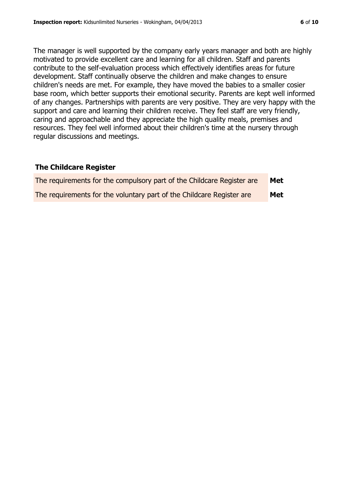The manager is well supported by the company early years manager and both are highly motivated to provide excellent care and learning for all children. Staff and parents contribute to the self-evaluation process which effectively identifies areas for future development. Staff continually observe the children and make changes to ensure children's needs are met. For example, they have moved the babies to a smaller cosier base room, which better supports their emotional security. Parents are kept well informed of any changes. Partnerships with parents are very positive. They are very happy with the support and care and learning their children receive. They feel staff are very friendly, caring and approachable and they appreciate the high quality meals, premises and resources. They feel well informed about their children's time at the nursery through regular discussions and meetings.

#### **The Childcare Register**

| The requirements for the compulsory part of the Childcare Register are | Met |
|------------------------------------------------------------------------|-----|
| The requirements for the voluntary part of the Childcare Register are  | Met |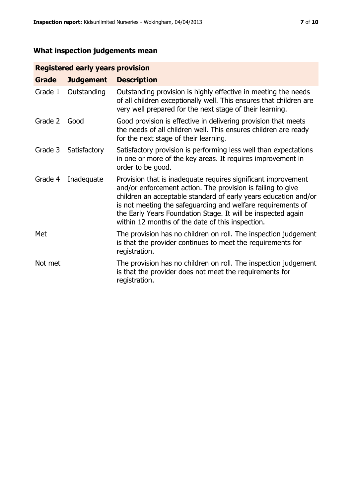# **What inspection judgements mean**

# **Registered early years provision**

| Grade   | <b>Judgement</b> | <b>Description</b>                                                                                                                                                                                                                                                                                                                                                                 |
|---------|------------------|------------------------------------------------------------------------------------------------------------------------------------------------------------------------------------------------------------------------------------------------------------------------------------------------------------------------------------------------------------------------------------|
| Grade 1 | Outstanding      | Outstanding provision is highly effective in meeting the needs<br>of all children exceptionally well. This ensures that children are<br>very well prepared for the next stage of their learning.                                                                                                                                                                                   |
| Grade 2 | Good             | Good provision is effective in delivering provision that meets<br>the needs of all children well. This ensures children are ready<br>for the next stage of their learning.                                                                                                                                                                                                         |
| Grade 3 | Satisfactory     | Satisfactory provision is performing less well than expectations<br>in one or more of the key areas. It requires improvement in<br>order to be good.                                                                                                                                                                                                                               |
| Grade 4 | Inadequate       | Provision that is inadequate requires significant improvement<br>and/or enforcement action. The provision is failing to give<br>children an acceptable standard of early years education and/or<br>is not meeting the safeguarding and welfare requirements of<br>the Early Years Foundation Stage. It will be inspected again<br>within 12 months of the date of this inspection. |
| Met     |                  | The provision has no children on roll. The inspection judgement<br>is that the provider continues to meet the requirements for<br>registration.                                                                                                                                                                                                                                    |
| Not met |                  | The provision has no children on roll. The inspection judgement<br>is that the provider does not meet the requirements for<br>registration.                                                                                                                                                                                                                                        |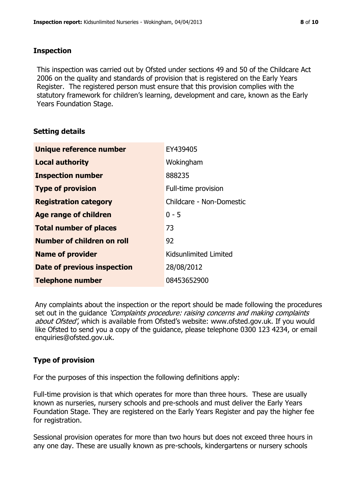#### **Inspection**

This inspection was carried out by Ofsted under sections 49 and 50 of the Childcare Act 2006 on the quality and standards of provision that is registered on the Early Years Register. The registered person must ensure that this provision complies with the statutory framework for children's learning, development and care, known as the Early Years Foundation Stage.

# **Setting details**

| Unique reference number       | EY439405                 |
|-------------------------------|--------------------------|
| <b>Local authority</b>        | Wokingham                |
| <b>Inspection number</b>      | 888235                   |
| <b>Type of provision</b>      | Full-time provision      |
| <b>Registration category</b>  | Childcare - Non-Domestic |
| <b>Age range of children</b>  | $0 - 5$                  |
| <b>Total number of places</b> | 73                       |
| Number of children on roll    | 92                       |
| <b>Name of provider</b>       | Kidsunlimited Limited    |
| Date of previous inspection   | 28/08/2012               |
| <b>Telephone number</b>       | 08453652900              |

Any complaints about the inspection or the report should be made following the procedures set out in the guidance *'Complaints procedure: raising concerns and making complaints* about Ofsted', which is available from Ofsted's website: www.ofsted.gov.uk. If you would like Ofsted to send you a copy of the guidance, please telephone 0300 123 4234, or email enquiries@ofsted.gov.uk.

# **Type of provision**

For the purposes of this inspection the following definitions apply:

Full-time provision is that which operates for more than three hours. These are usually known as nurseries, nursery schools and pre-schools and must deliver the Early Years Foundation Stage. They are registered on the Early Years Register and pay the higher fee for registration.

Sessional provision operates for more than two hours but does not exceed three hours in any one day. These are usually known as pre-schools, kindergartens or nursery schools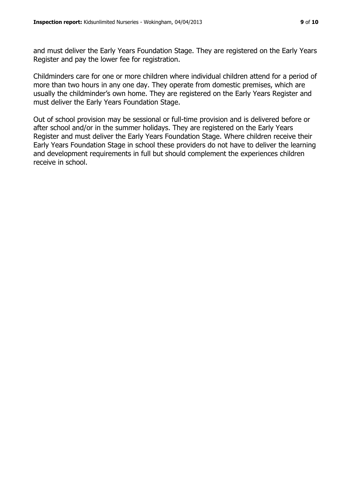and must deliver the Early Years Foundation Stage. They are registered on the Early Years Register and pay the lower fee for registration.

Childminders care for one or more children where individual children attend for a period of more than two hours in any one day. They operate from domestic premises, which are usually the childminder's own home. They are registered on the Early Years Register and must deliver the Early Years Foundation Stage.

Out of school provision may be sessional or full-time provision and is delivered before or after school and/or in the summer holidays. They are registered on the Early Years Register and must deliver the Early Years Foundation Stage. Where children receive their Early Years Foundation Stage in school these providers do not have to deliver the learning and development requirements in full but should complement the experiences children receive in school.